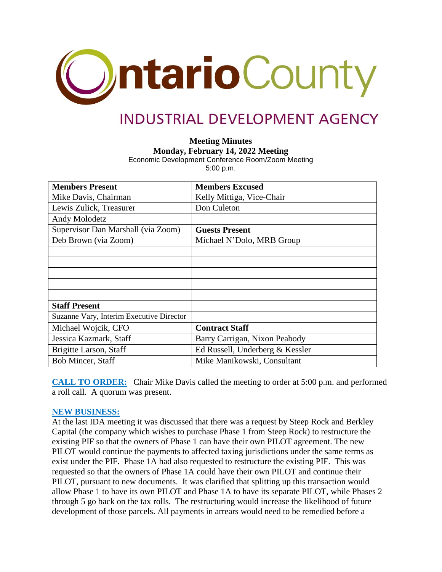

# **INDUSTRIAL DEVELOPMENT AGENCY**

**Meeting Minutes**

**Monday, February 14, 2022 Meeting**

Economic Development Conference Room/Zoom Meeting 5:00 p.m.

| <b>Members Present</b>                   | <b>Members Excused</b>          |
|------------------------------------------|---------------------------------|
| Mike Davis, Chairman                     | Kelly Mittiga, Vice-Chair       |
| Lewis Zulick, Treasurer                  | Don Culeton                     |
| Andy Molodetz                            |                                 |
| Supervisor Dan Marshall (via Zoom)       | <b>Guests Present</b>           |
| Deb Brown (via Zoom)                     | Michael N'Dolo, MRB Group       |
|                                          |                                 |
|                                          |                                 |
|                                          |                                 |
|                                          |                                 |
|                                          |                                 |
| <b>Staff Present</b>                     |                                 |
| Suzanne Vary, Interim Executive Director |                                 |
| Michael Wojcik, CFO                      | <b>Contract Staff</b>           |
| Jessica Kazmark, Staff                   | Barry Carrigan, Nixon Peabody   |
| Brigitte Larson, Staff                   | Ed Russell, Underberg & Kessler |
| <b>Bob Mincer, Staff</b>                 | Mike Manikowski, Consultant     |

**CALL TO ORDER:** Chair Mike Davis called the meeting to order at 5:00 p.m. and performed a roll call. A quorum was present.

## **NEW BUSINESS:**

At the last IDA meeting it was discussed that there was a request by Steep Rock and Berkley Capital (the company which wishes to purchase Phase 1 from Steep Rock) to restructure the existing PIF so that the owners of Phase 1 can have their own PILOT agreement. The new PILOT would continue the payments to affected taxing jurisdictions under the same terms as exist under the PIF. Phase 1A had also requested to restructure the existing PIF. This was requested so that the owners of Phase 1A could have their own PILOT and continue their PILOT, pursuant to new documents. It was clarified that splitting up this transaction would allow Phase 1 to have its own PILOT and Phase 1A to have its separate PILOT, while Phases 2 through 5 go back on the tax rolls. The restructuring would increase the likelihood of future development of those parcels. All payments in arrears would need to be remedied before a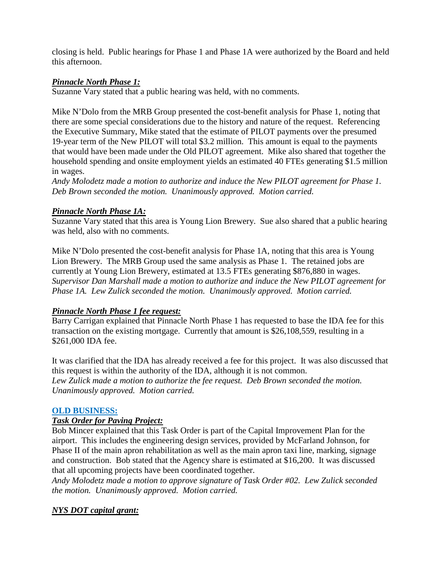closing is held. Public hearings for Phase 1 and Phase 1A were authorized by the Board and held this afternoon.

# *Pinnacle North Phase 1:*

Suzanne Vary stated that a public hearing was held, with no comments.

Mike N'Dolo from the MRB Group presented the cost-benefit analysis for Phase 1, noting that there are some special considerations due to the history and nature of the request. Referencing the Executive Summary, Mike stated that the estimate of PILOT payments over the presumed 19-year term of the New PILOT will total \$3.2 million. This amount is equal to the payments that would have been made under the Old PILOT agreement. Mike also shared that together the household spending and onsite employment yields an estimated 40 FTEs generating \$1.5 million in wages.

*Andy Molodetz made a motion to authorize and induce the New PILOT agreement for Phase 1. Deb Brown seconded the motion. Unanimously approved. Motion carried.*

## *Pinnacle North Phase 1A:*

Suzanne Vary stated that this area is Young Lion Brewery. Sue also shared that a public hearing was held, also with no comments.

Mike N'Dolo presented the cost-benefit analysis for Phase 1A, noting that this area is Young Lion Brewery. The MRB Group used the same analysis as Phase 1. The retained jobs are currently at Young Lion Brewery, estimated at 13.5 FTEs generating \$876,880 in wages. *Supervisor Dan Marshall made a motion to authorize and induce the New PILOT agreement for Phase 1A. Lew Zulick seconded the motion. Unanimously approved. Motion carried.*

# *Pinnacle North Phase 1 fee request:*

Barry Carrigan explained that Pinnacle North Phase 1 has requested to base the IDA fee for this transaction on the existing mortgage. Currently that amount is \$26,108,559, resulting in a \$261,000 IDA fee.

It was clarified that the IDA has already received a fee for this project. It was also discussed that this request is within the authority of the IDA, although it is not common. *Lew Zulick made a motion to authorize the fee request. Deb Brown seconded the motion. Unanimously approved. Motion carried.*

## **OLD BUSINESS:**

## *Task Order for Paving Project:*

Bob Mincer explained that this Task Order is part of the Capital Improvement Plan for the airport. This includes the engineering design services, provided by McFarland Johnson, for Phase II of the main apron rehabilitation as well as the main apron taxi line, marking, signage and construction. Bob stated that the Agency share is estimated at \$16,200. It was discussed that all upcoming projects have been coordinated together.

*Andy Molodetz made a motion to approve signature of Task Order #02. Lew Zulick seconded the motion. Unanimously approved. Motion carried.*

# *NYS DOT capital grant:*